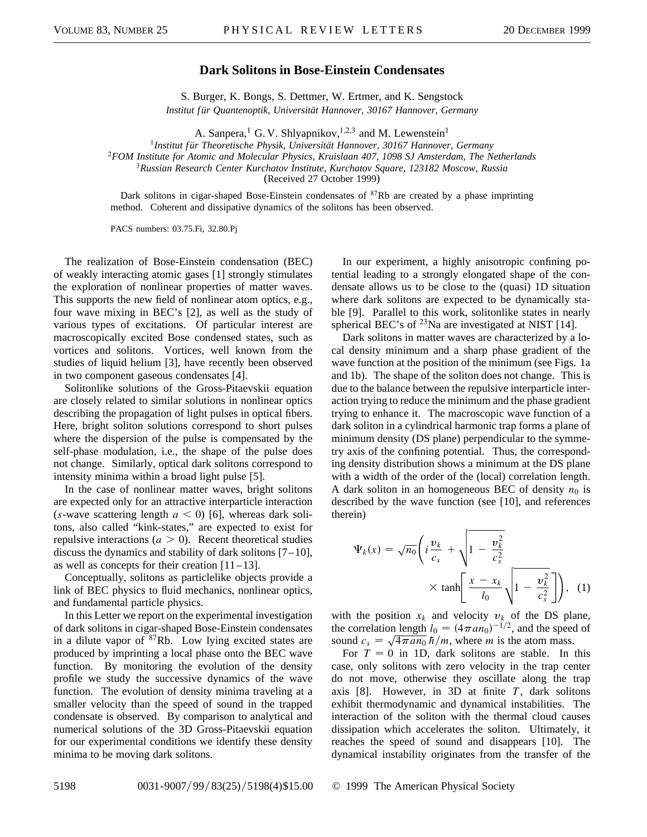## **Dark Solitons in Bose-Einstein Condensates**

S. Burger, K. Bongs, S. Dettmer, W. Ertmer, and K. Sengstock *Institut für Quantenoptik, Universität Hannover, 30167 Hannover, Germany*

A. Sanpera,<sup>1</sup> G. V. Shlyapnikov,<sup>1,2,3</sup> and M. Lewenstein<sup>1</sup>

<sup>1</sup>*Institut für Theoretische Physik, Universität Hannover, 30167 Hannover, Germany*

<sup>2</sup>*FOM Institute for Atomic and Molecular Physics, Kruislaan 407, 1098 SJ Amsterdam, The Netherlands*

<sup>3</sup>*Russian Research Center Kurchatov Institute, Kurchatov Square, 123182 Moscow, Russia*

(Received 27 October 1999)

Dark solitons in cigar-shaped Bose-Einstein condensates of  ${}^{87}Rb$  are created by a phase imprinting method. Coherent and dissipative dynamics of the solitons has been observed.

PACS numbers: 03.75.Fi, 32.80.Pj

The realization of Bose-Einstein condensation (BEC) of weakly interacting atomic gases [1] strongly stimulates the exploration of nonlinear properties of matter waves. This supports the new field of nonlinear atom optics, e.g., four wave mixing in BEC's [2], as well as the study of various types of excitations. Of particular interest are macroscopically excited Bose condensed states, such as vortices and solitons. Vortices, well known from the studies of liquid helium [3], have recently been observed in two component gaseous condensates [4].

Solitonlike solutions of the Gross-Pitaevskii equation are closely related to similar solutions in nonlinear optics describing the propagation of light pulses in optical fibers. Here, bright soliton solutions correspond to short pulses where the dispersion of the pulse is compensated by the self-phase modulation, i.e., the shape of the pulse does not change. Similarly, optical dark solitons correspond to intensity minima within a broad light pulse [5].

In the case of nonlinear matter waves, bright solitons are expected only for an attractive interparticle interaction (*s*-wave scattering length  $a < 0$ ) [6], whereas dark solitons, also called "kink-states," are expected to exist for repulsive interactions ( $a > 0$ ). Recent theoretical studies discuss the dynamics and stability of dark solitons  $[7-10]$ , as well as concepts for their creation [11–13].

Conceptually, solitons as particlelike objects provide a link of BEC physics to fluid mechanics, nonlinear optics, and fundamental particle physics.

In this Letter we report on the experimental investigation of dark solitons in cigar-shaped Bose-Einstein condensates in a dilute vapor of  ${}^{87}Rb$ . Low lying excited states are produced by imprinting a local phase onto the BEC wave function. By monitoring the evolution of the density profile we study the successive dynamics of the wave function. The evolution of density minima traveling at a smaller velocity than the speed of sound in the trapped condensate is observed. By comparison to analytical and numerical solutions of the 3D Gross-Pitaevskii equation for our experimental conditions we identify these density minima to be moving dark solitons.

In our experiment, a highly anisotropic confining potential leading to a strongly elongated shape of the condensate allows us to be close to the (quasi) 1D situation where dark solitons are expected to be dynamically stable [9]. Parallel to this work, solitonlike states in nearly spherical BEC's of  $^{23}$ Na are investigated at NIST [14].

Dark solitons in matter waves are characterized by a local density minimum and a sharp phase gradient of the wave function at the position of the minimum (see Figs. 1a and 1b). The shape of the soliton does not change. This is due to the balance between the repulsive interparticle interaction trying to reduce the minimum and the phase gradient trying to enhance it. The macroscopic wave function of a dark soliton in a cylindrical harmonic trap forms a plane of minimum density (DS plane) perpendicular to the symmetry axis of the confining potential. Thus, the corresponding density distribution shows a minimum at the DS plane with a width of the order of the (local) correlation length. A dark soliton in an homogeneous BEC of density  $n_0$  is described by the wave function (see [10], and references therein)

$$
\Psi_k(x) = \sqrt{n_0} \left( i \frac{\nu_k}{c_s} + \sqrt{1 - \frac{\nu_k^2}{c_s^2}} \times \tanh\left[\frac{x - x_k}{l_0} \sqrt{1 - \frac{\nu_k^2}{c_s^2}}\right] \right), \quad (1)
$$

with the position  $x_k$  and velocity  $v_k$  of the DS plane, the correlation length  $l_0 = (4\pi a n_0)^{-1/2}$ , and the speed of sound  $c_s = \sqrt{4\pi a n_0} h/m$ , where *m* is the atom mass.

For  $T = 0$  in 1D, dark solitons are stable. In this case, only solitons with zero velocity in the trap center do not move, otherwise they oscillate along the trap axis [8]. However, in 3D at finite *T*, dark solitons exhibit thermodynamic and dynamical instabilities. The interaction of the soliton with the thermal cloud causes dissipation which accelerates the soliton. Ultimately, it reaches the speed of sound and disappears [10]. The dynamical instability originates from the transfer of the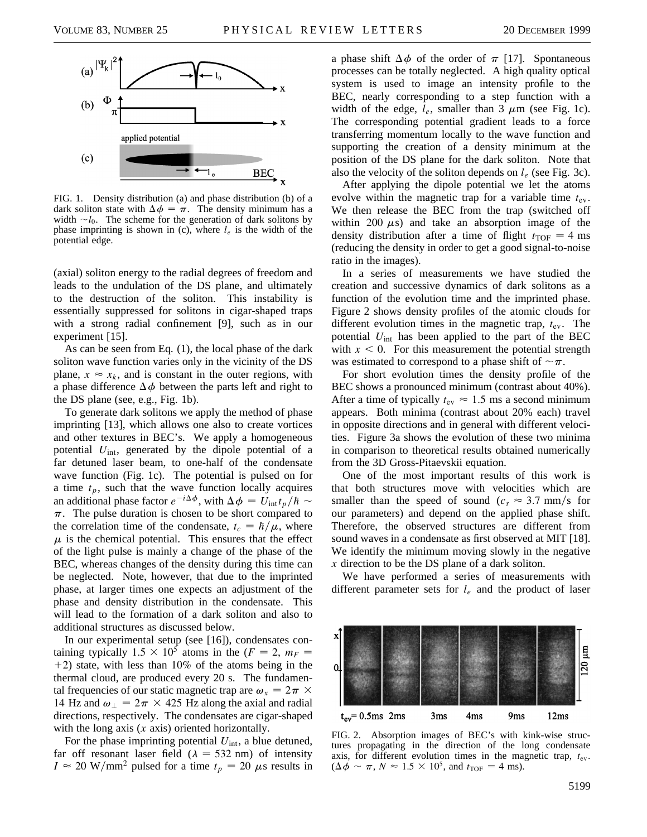

FIG. 1. Density distribution (a) and phase distribution (b) of a dark soliton state with  $\Delta \phi = \pi$ . The density minimum has a width  $\sim l_0$ . The scheme for the generation of dark solitons by phase imprinting is shown in (c), where  $l_e$  is the width of the potential edge.

(axial) soliton energy to the radial degrees of freedom and leads to the undulation of the DS plane, and ultimately to the destruction of the soliton. This instability is essentially suppressed for solitons in cigar-shaped traps with a strong radial confinement [9], such as in our experiment [15].

As can be seen from Eq. (1), the local phase of the dark soliton wave function varies only in the vicinity of the DS plane,  $x \approx x_k$ , and is constant in the outer regions, with a phase difference  $\Delta \phi$  between the parts left and right to the DS plane (see, e.g., Fig. 1b).

To generate dark solitons we apply the method of phase imprinting [13], which allows one also to create vortices and other textures in BEC's. We apply a homogeneous potential *U*int, generated by the dipole potential of a far detuned laser beam, to one-half of the condensate wave function (Fig. 1c). The potential is pulsed on for a time  $t_p$ , such that the wave function locally acquires an additional phase factor  $e^{-i\Delta\phi}$ , with  $\Delta\phi = U_{int}t_p/\hbar \sim$  $\pi$ . The pulse duration is chosen to be short compared to the correlation time of the condensate,  $t_c = \hbar/\mu$ , where  $\mu$  is the chemical potential. This ensures that the effect of the light pulse is mainly a change of the phase of the BEC, whereas changes of the density during this time can be neglected. Note, however, that due to the imprinted phase, at larger times one expects an adjustment of the phase and density distribution in the condensate. This will lead to the formation of a dark soliton and also to additional structures as discussed below.

In our experimental setup (see [16]), condensates containing typically  $1.5 \times 10^5$  atoms in the (*F* = 2,  $m_F$  =  $+2$ ) state, with less than 10% of the atoms being in the thermal cloud, are produced every 20 s. The fundamental frequencies of our static magnetic trap are  $\omega_x = 2\pi \times$ 14 Hz and  $\omega_{\perp} = 2\pi \times 425$  Hz along the axial and radial directions, respectively. The condensates are cigar-shaped with the long axis (*x* axis) oriented horizontally.

For the phase imprinting potential  $U_{\text{int}}$ , a blue detuned, far off resonant laser field ( $\lambda = 532$  nm) of intensity  $I \approx 20 \text{ W/mm}^2$  pulsed for a time  $t_p = 20 \mu s$  results in a phase shift  $\Delta \phi$  of the order of  $\pi$  [17]. Spontaneous processes can be totally neglected. A high quality optical system is used to image an intensity profile to the BEC, nearly corresponding to a step function with a width of the edge,  $l_e$ , smaller than  $3 \mu$ m (see Fig. 1c). The corresponding potential gradient leads to a force transferring momentum locally to the wave function and supporting the creation of a density minimum at the position of the DS plane for the dark soliton. Note that also the velocity of the soliton depends on *le* (see Fig. 3c).

After applying the dipole potential we let the atoms evolve within the magnetic trap for a variable time  $t_{ev}$ . We then release the BEC from the trap (switched off within 200  $\mu$ s) and take an absorption image of the density distribution after a time of flight  $t_{\text{TOF}} = 4 \text{ ms}$ (reducing the density in order to get a good signal-to-noise ratio in the images).

In a series of measurements we have studied the creation and successive dynamics of dark solitons as a function of the evolution time and the imprinted phase. Figure 2 shows density profiles of the atomic clouds for different evolution times in the magnetic trap,  $t_{ev}$ . The potential *U*int has been applied to the part of the BEC with  $x < 0$ . For this measurement the potential strength was estimated to correspond to a phase shift of  $\sim \pi$ .

For short evolution times the density profile of the BEC shows a pronounced minimum (contrast about 40%). After a time of typically  $t_{\text{ev}} \approx 1.5$  ms a second minimum appears. Both minima (contrast about 20% each) travel in opposite directions and in general with different velocities. Figure 3a shows the evolution of these two minima in comparison to theoretical results obtained numerically from the 3D Gross-Pitaevskii equation.

One of the most important results of this work is that both structures move with velocities which are smaller than the speed of sound ( $c_s \approx 3.7$  mm/s for our parameters) and depend on the applied phase shift. Therefore, the observed structures are different from sound waves in a condensate as first observed at MIT [18]. We identify the minimum moving slowly in the negative *x* direction to be the DS plane of a dark soliton.

We have performed a series of measurements with different parameter sets for *le* and the product of laser



FIG. 2. Absorption images of BEC's with kink-wise structures propagating in the direction of the long condensate axis, for different evolution times in the magnetic trap,  $t_{ev}$ .  $(\Delta \phi \sim \pi, N \approx 1.5 \times 10^5, \text{ and } t_{\text{TOF}} = 4 \text{ ms}).$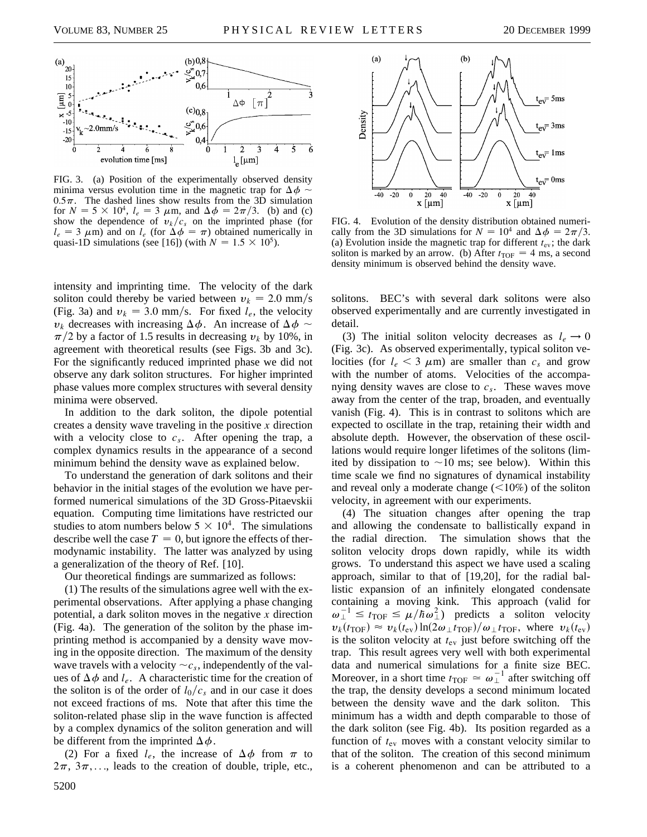

FIG. 3. (a) Position of the experimentally observed density minima versus evolution time in the magnetic trap for  $\Delta \phi$  $0.5\pi$ . The dashed lines show results from the 3D simulation for  $N = 5 \times 10^4$ ,  $l_e = 3 \mu \text{m}$ , and  $\Delta \phi = 2\pi/3$ . (b) and (c) show the dependence of  $v_k/c_s$  on the imprinted phase (for  $l_e = 3 \mu m$ ) and on  $l_e$  (for  $\Delta \phi = \pi$ ) obtained numerically in quasi-1D simulations (see [16]) (with  $N = 1.5 \times 10^5$ ).

intensity and imprinting time. The velocity of the dark soliton could thereby be varied between  $v_k = 2.0$  mm/s (Fig. 3a) and  $v_k = 3.0$  mm/s. For fixed  $l_e$ , the velocity  $v_k$  decreases with increasing  $\Delta \phi$ . An increase of  $\Delta \phi \sim$  $\pi/2$  by a factor of 1.5 results in decreasing  $v_k$  by 10%, in agreement with theoretical results (see Figs. 3b and 3c). For the significantly reduced imprinted phase we did not observe any dark soliton structures. For higher imprinted phase values more complex structures with several density minima were observed.

In addition to the dark soliton, the dipole potential creates a density wave traveling in the positive *x* direction with a velocity close to  $c_s$ . After opening the trap, a complex dynamics results in the appearance of a second minimum behind the density wave as explained below.

To understand the generation of dark solitons and their behavior in the initial stages of the evolution we have performed numerical simulations of the 3D Gross-Pitaevskii equation. Computing time limitations have restricted our studies to atom numbers below  $5 \times 10^4$ . The simulations describe well the case  $T = 0$ , but ignore the effects of thermodynamic instability. The latter was analyzed by using a generalization of the theory of Ref. [10].

Our theoretical findings are summarized as follows:

(1) The results of the simulations agree well with the experimental observations. After applying a phase changing potential, a dark soliton moves in the negative *x* direction (Fig. 4a). The generation of the soliton by the phase imprinting method is accompanied by a density wave moving in the opposite direction. The maximum of the density wave travels with a velocity  $\sim c_s$ , independently of the values of  $\Delta \phi$  and  $l_e$ . A characteristic time for the creation of the soliton is of the order of  $l_0/c_s$  and in our case it does not exceed fractions of ms. Note that after this time the soliton-related phase slip in the wave function is affected by a complex dynamics of the soliton generation and will be different from the imprinted  $\Delta \phi$ .

(2) For a fixed  $l_e$ , the increase of  $\Delta \phi$  from  $\pi$  to  $2\pi$ ,  $3\pi$ ,..., leads to the creation of double, triple, etc.,



FIG. 4. Evolution of the density distribution obtained numerically from the 3D simulations for  $N = 10^4$  and  $\Delta \phi = 2\pi/3$ . (a) Evolution inside the magnetic trap for different  $t_{ev}$ ; the dark soliton is marked by an arrow. (b) After  $t_{\text{TOF}} = 4 \text{ ms}$ , a second density minimum is observed behind the density wave.

solitons. BEC's with several dark solitons were also observed experimentally and are currently investigated in detail.

(3) The initial soliton velocity decreases as  $l_e \rightarrow 0$ (Fig. 3c). As observed experimentally, typical soliton velocities (for  $l_e < 3 \mu$ m) are smaller than  $c_s$  and grow with the number of atoms. Velocities of the accompanying density waves are close to *cs*. These waves move away from the center of the trap, broaden, and eventually vanish (Fig. 4). This is in contrast to solitons which are expected to oscillate in the trap, retaining their width and absolute depth. However, the observation of these oscillations would require longer lifetimes of the solitons (limited by dissipation to  $\sim$ 10 ms; see below). Within this time scale we find no signatures of dynamical instability and reveal only a moderate change  $(<10\%)$  of the soliton velocity, in agreement with our experiments.

(4) The situation changes after opening the trap and allowing the condensate to ballistically expand in the radial direction. The simulation shows that the soliton velocity drops down rapidly, while its width grows. To understand this aspect we have used a scaling approach, similar to that of [19,20], for the radial ballistic expansion of an infinitely elongated condensate containing a moving kink. This approach (valid for  $\omega_{\perp}^{-1} \leq t_{\text{TOF}} \leq \mu/\hbar \omega_{\perp}^2$  predicts a soliton velocity  $v_k(t_{\text{TOF}}) \approx v_k(t_{\text{ev}}) \ln(2\omega_{\perp}t_{\text{TOF}})/\omega_{\perp}t_{\text{TOF}},$  where  $v_k(t_{\text{ev}})$ is the soliton velocity at *t*ev just before switching off the trap. This result agrees very well with both experimental data and numerical simulations for a finite size BEC. Moreover, in a short time  $t_{\text{TOF}} \approx \omega_{\perp}^{-1}$  after switching off the trap, the density develops a second minimum located between the density wave and the dark soliton. This minimum has a width and depth comparable to those of the dark soliton (see Fig. 4b). Its position regarded as a function of  $t_{\text{ev}}$  moves with a constant velocity similar to that of the soliton. The creation of this second minimum is a coherent phenomenon and can be attributed to a